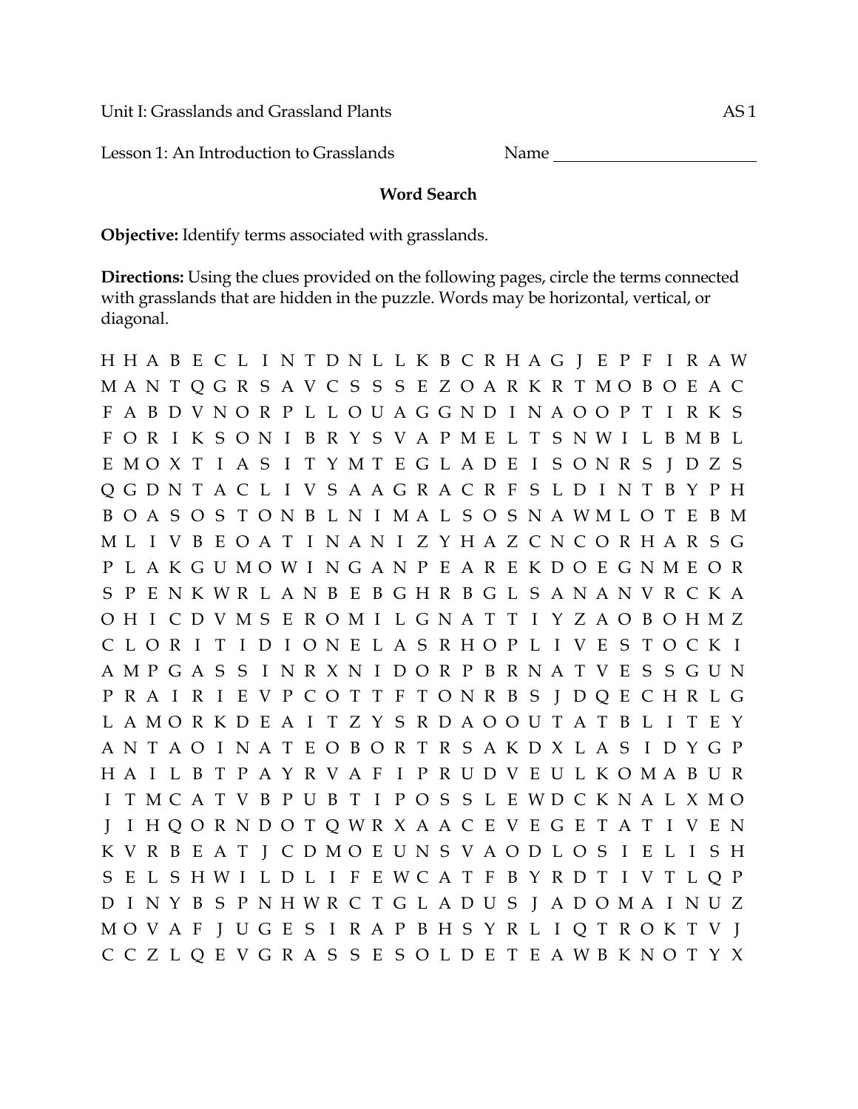Unit I: Grasslands and Grassland Plants and AS 1

Lesson 1: An Introduction to Grasslands Name

## **Word Search**

**Objective:** Identify terms associated with grasslands.

**Directions:** Using the clues provided on the following pages, circle the terms connected with grasslands that are hidden in the puzzle. Words may be horizontal, vertical, or diagonal.

H H A B E C L I N T D N L L K B C R H A G J E P F I R A W M A N T Q G R S A V C S S S E Z O A R K R T M O B O E A C F A B D V N O R P L L O U A G G N D I N A O O P T I R K S F O R I K S O N I B R Y S V A P M E L T S N W I L B M B L E M O X T I A S I T Y M T E G L A D E I S O N R S J D Z S Q G D N T A C L I V S A A G R A C R F S L D I N T B Y P H B O A S O S T O N B L N I M A L S O S N A W M L O T E B M M L I V B E O A T I N A N I Z Y H A Z C N C O R H A R S G P L A K G U M O W I N G A N P E A R E K D O E G N M E O R S P E N K W R L A N B E B G H R B G L S A N A N V R C K A O H I C D V M S E R O M I L G N A T T I Y Z A O B O H M Z C L O R I T I D I O N E L A S R H O P L I V E S T O C K I A M P G A S S I N R X N I D O R P B R N A T V E S S G U N P R A I R I E V P C O T T F T O N R B S J D Q E C H R L G L A M O R K D E A I T Z Y S R D A O O U T A T B L I T E Y A N T A O I N A T E O B O R T R S A K D X L A S I D Y G P H A I L B T P A Y R V A F I P R U D V E U L K O M A B U R I T M C A T V B P U B T I P O S S L E W D C K N A L X M O J I H Q O R N D O T Q W R X A A C E V E G E T A T I V E N K V R B E A T J C D M O E U N S V A O D L O S I E L I S H S E L S H W I L D L I F E W C A T F B Y R D T I V T L Q P D I N Y B S P N H W R C T G L A D U S J A D O M A I N U Z M O V A F J U G E S I R A P B H S Y R L I Q T R O K T V J C C Z L Q E V G R A S S E S O L D E T E A W B K N O T Y X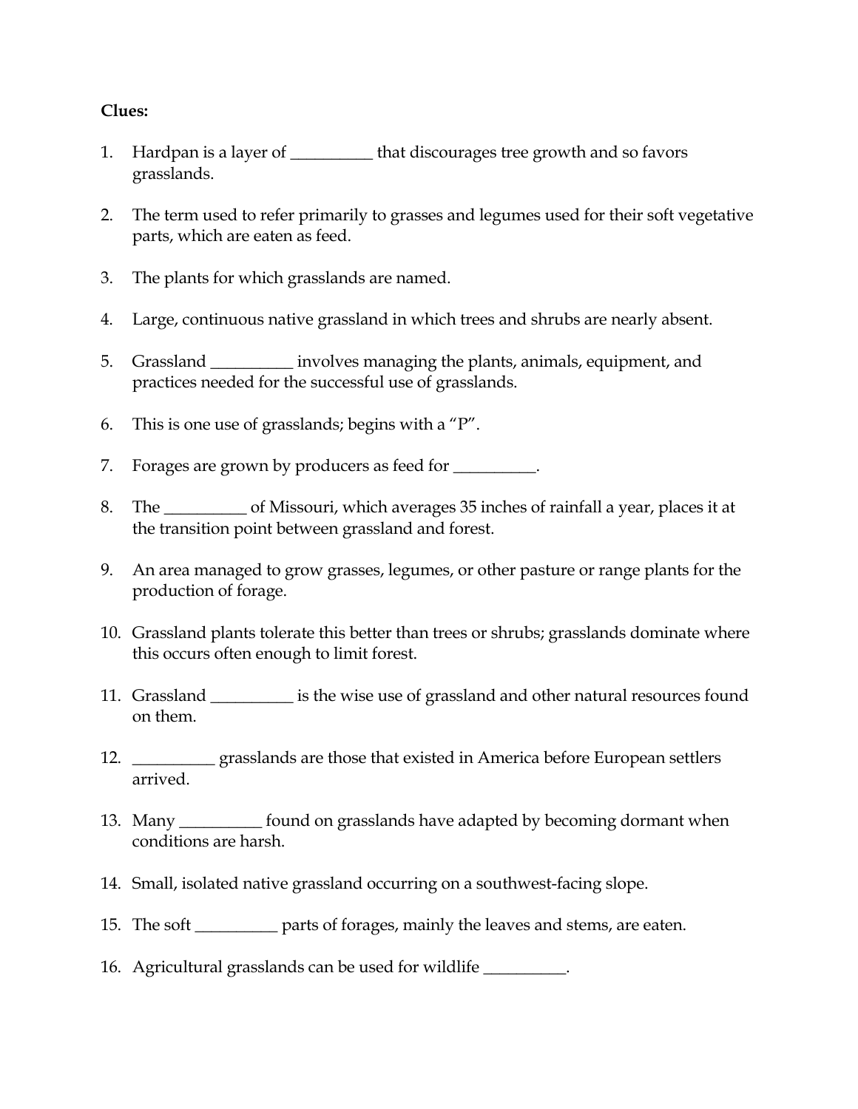## **Clues:**

- 1. Hardpan is a layer of \_\_\_\_\_\_\_\_\_\_ that discourages tree growth and so favors grasslands.
- 2. The term used to refer primarily to grasses and legumes used for their soft vegetative parts, which are eaten as feed.
- 3. The plants for which grasslands are named.
- 4. Large, continuous native grassland in which trees and shrubs are nearly absent.
- 5. Grassland \_\_\_\_\_\_\_\_\_\_ involves managing the plants, animals, equipment, and practices needed for the successful use of grasslands.
- 6. This is one use of grasslands; begins with a "P".
- 7. Forages are grown by producers as feed for \_\_\_\_\_\_\_\_\_.
- 8. The \_\_\_\_\_\_\_\_\_\_ of Missouri, which averages 35 inches of rainfall a year, places it at the transition point between grassland and forest.
- 9. An area managed to grow grasses, legumes, or other pasture or range plants for the production of forage.
- 10. Grassland plants tolerate this better than trees or shrubs; grasslands dominate where this occurs often enough to limit forest.
- 11. Grassland \_\_\_\_\_\_\_\_\_\_ is the wise use of grassland and other natural resources found on them.
- 12. \_\_\_\_\_\_\_\_\_\_ grasslands are those that existed in America before European settlers arrived.
- 13. Many \_\_\_\_\_\_\_\_\_\_ found on grasslands have adapted by becoming dormant when conditions are harsh.
- 14. Small, isolated native grassland occurring on a southwest-facing slope.
- 15. The soft \_\_\_\_\_\_\_\_\_\_ parts of forages, mainly the leaves and stems, are eaten.
- 16. Agricultural grasslands can be used for wildlife \_\_\_\_\_\_\_\_\_\_.